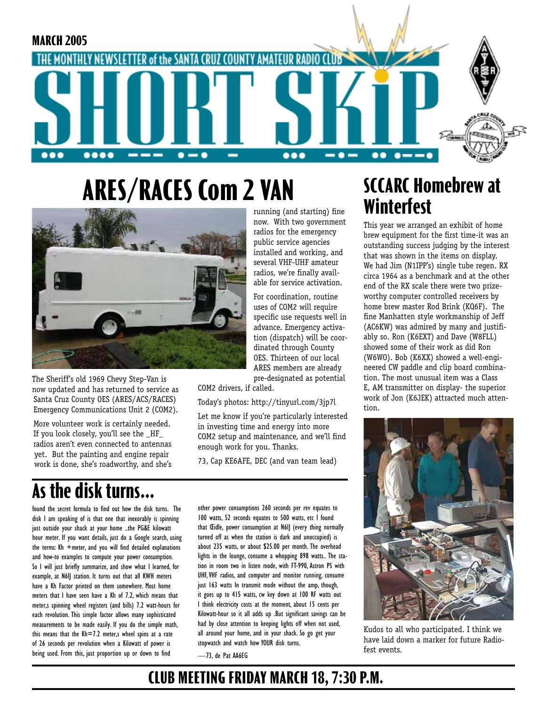

now. With two government radios for the emergency public service agencies installed and working, and several VHF-UHF amateur radios, we're finally available for service activation. For coordination, routine uses of COM2 will require specific use requests well in advance. Emergency activation (dispatch) will be coordinated through County OES. Thirteen of our local ARES members are already pre-designated as potential

### **ARES/RACES Com 2 VAN** running (and starting) fine



The Sheriff's old 1969 Chevy Step-Van is now updated and has returned to service as Santa Cruz County OES (ARES/ACS/RACES) Emergency Communications Unit 2 (COM2).

More volunteer work is certainly needed. If you look closely, you'll see the \_HF\_ radios aren't even connected to antennas yet. But the painting and engine repair work is done, she's roadworthy, and she's

# **As the disk turns...**

found the secret formula to find out how the disk turns. The disk I am speaking of is that one that inexorably is spinning just outside your shack at your home ..the PG&E kilowatt hour meter. If you want details, just do a Google search, using the terms: Kh +meter, and you will find detailed explanations and how-to examples to compute your power consumption. So I will just briefly summarize, and show what I learned, for example, at N6IJ station. It turns out that all KWH meters have a Kh Factor printed on them somewhere. Most home meters that I have seen have a Kh of 7.2, which means that meter,s spinning wheel registers (and bills) 7.2 watt-hours for each revolution. This simple factor allows many sophisticated measurements to be made easily. If you do the simple math, this means that the  $Kh = 7.2$  meter, wheel spins at a rate of 26 seconds per revolution when a Kilowatt of power is being used. From this, just proportion up or down to find

other power consumptions 260 seconds per rev equates to 100 watts, 52 seconds equates to 500 watts, etc I found that Cidle, power consumption at N6II (every thing normally turned off as when the station is dark and unoccupied) is about 235 watts, or about \$25.00 per month. The overhead lights in the lounge, consume a whopping 898 watts.. The station in room two in listen mode, with FT-990, Astron PS with UHF, VHF radios, and computer and monitor running, consume just 163 watts In transmit mode without the amp, though, it goes up to 415 watts, cw key down at 100 RF watts out I think electricity costs at the moment, about 15 cents per Kilowatt-hour so it all adds up .But significant savings can be had by close attention to keeping lights off when not used, all around your home, and in your shack. So go get your stopwatch and watch how YOUR disk turns.

—73, de Pat AA6EG

COM2 drivers, if called.

enough work for you. Thanks.

Today's photos: http://tinyurl.com/3jp7l Let me know if you're particularly interested in investing time and energy into more COM2 setup and maintenance, and we'll find

73, Cap KE6AFE, DEC (and van team lead)

**SCCARC Homebrew at Winterfest**

This year we arranged an exhibit of home brew equipment for the first time-it was an outstanding success judging by the interest that was shown in the items on display. We had Jim (N1IPP's) single tube regen. RX circa 1964 as a benchmark and at the other end of the RX scale there were two prizeworthy computer controlled receivers by home brew master Rod Brink (KQ6F). The fine Manhatten style workmanship of Jeff (AC6KW) was admired by many and justifiably so. Ron (K6EXT) and Dave (W8FLL) showed some of their work as did Ron (W6WO). Bob (K6XX) showed a well-engineered CW paddle and clip board combination. The most unusual item was a Class E, AM transmitter on display- the superior work of Jon (K6JEK) attracted much attention.



Kudos to all who participated. I think we have laid down a marker for future Radiofest events.

### **CLUB MEETING FRIDAY MARCH 18, 7:30 P.M.**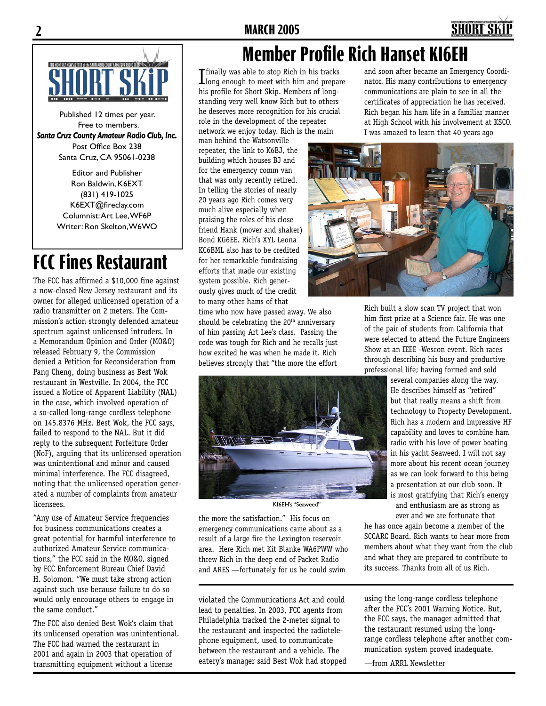



Published 12 times per year. Free to members. *Santa Cruz County Amateur Radio Club, Inc.* Post Office Box 238 Santa Cruz, CA 95061-0238

> Editor and Publisher Ron Baldwin, K6EXT (831) 419-1025 K6EXT@fireclay.com Columnist: Art Lee, WF6P Writer: Ron Skelton, W6WO

# **FCC Fines Restaurant**

The FCC has affirmed a \$10,000 fine against a now-closed New Jersey restaurant and its owner for alleged unlicensed operation of a radio transmitter on 2 meters. The Commission's action strongly defended amateur spectrum against unlicensed intruders. In a Memorandum Opinion and Order (MO&O) released February 9, the Commission denied a Petition for Reconsideration from Pang Cheng, doing business as Best Wok restaurant in Westville. In 2004, the FCC issued a Notice of Apparent Liability (NAL) in the case, which involved operation of a so-called long-range cordless telephone on 145.8376 MHz. Best Wok, the FCC says, failed to respond to the NAL. But it did reply to the subsequent Forfeiture Order (NoF), arguing that its unlicensed operation was unintentional and minor and caused minimal interference. The FCC disagreed, noting that the unlicensed operation generated a number of complaints from amateur licensees.

"Any use of Amateur Service frequencies for business communications creates a great potential for harmful interference to authorized Amateur Service communications," the FCC said in the MO&O, signed by FCC Enforcement Bureau Chief David H. Solomon. "We must take strong action against such use because failure to do so would only encourage others to engage in the same conduct."

The FCC also denied Best Wok's claim that its unlicensed operation was unintentional. The FCC had warned the restaurant in 2001 and again in 2003 that operation of transmitting equipment without a license

### **Member Profile Rich Hanset KI6EH**

**Thally was able to stop Rich in his tracks**<br>Llong enough to meet with him and prepare his profile for Short Skip. Members of longstanding very well know Rich but to others he deserves more recognition for his crucial role in the development of the repeater network we enjoy today. Rich is the main

man behind the Watsonville repeater, the link to K6BJ, the building which houses BJ and for the emergency comm van that was only recently retired. In telling the stories of nearly 20 years ago Rich comes very much alive especially when praising the roles of his close friend Hank (mover and shaker) Bond KG6EE. Rich's XYL Leona KC6BML also has to be credited for her remarkable fundraising efforts that made our existing system possible. Rich generously gives much of the credit to many other hams of that

time who now have passed away. We also should be celebrating the 20<sup>th</sup> anniversary of him passing Art Lee's class. Passing the code was tough for Rich and he recalls just how excited he was when he made it. Rich believes strongly that "the more the effort



KI6EH's "Seaweed"

the more the satisfaction." His focus on emergency communications came about as a result of a large fire the Lexington reservoir area. Here Rich met Kit Blanke WA6PWW who threw Rich in the deep end of Packet Radio and ARES —fortunately for us he could swim

violated the Communications Act and could lead to penalties. In 2003, FCC agents from Philadelphia tracked the 2-meter signal to the restaurant and inspected the radiotelephone equipment, used to communicate between the restaurant and a vehicle. The eatery's manager said Best Wok had stopped and soon after became an Emergency Coordinator. His many contributions to emergency communications are plain to see in all the certificates of appreciation he has received. Rich began his ham life in a familiar manner at High School with his involvement at KSCO. I was amazed to learn that 40 years ago



Rich built a slow scan TV project that won him first prize at a Science fair. He was one of the pair of students from California that were selected to attend the Future Engineers Show at an IEEE -Wescon event. Rich races through describing his busy and productive professional life; having formed and sold

> several companies along the way. He describes himself as "retired" but that really means a shift from technology to Property Development. Rich has a modern and impressive HF capability and loves to combine ham radio with his love of power boating in his yacht Seaweed. I will not say more about his recent ocean journey as we can look forward to this being a presentation at our club soon. It is most gratifying that Rich's energy and enthusiasm are as strong as

ever and we are fortunate that he has once again become a member of the SCCARC Board. Rich wants to hear more from members about what they want from the club and what they are prepared to contribute to its success. Thanks from all of us Rich.

using the long-range cordless telephone after the FCC's 2001 Warning Notice. But, the FCC says, the manager admitted that the restaurant resumed using the longrange cordless telephone after another communication system proved inadequate.

—from ARRL Newsletter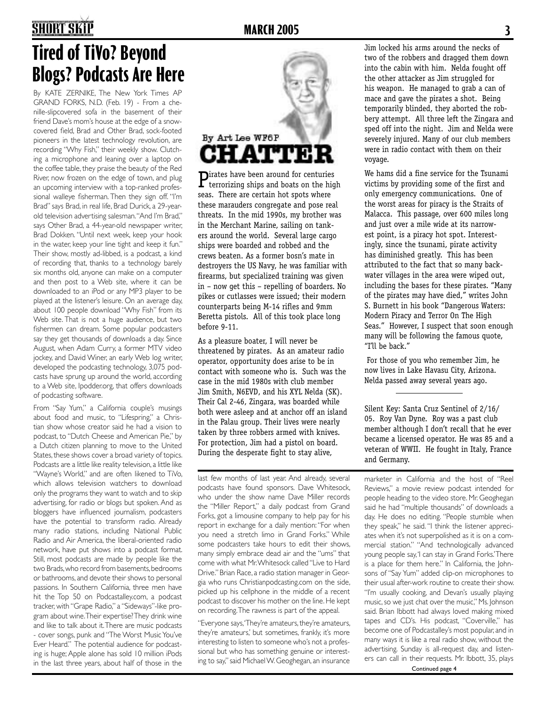## **2 MARCH 2005 3**

# **Tired of TiVo? Beyond Blogs? Podcasts Are Here**

By KATE ZERNIKE, The New York Times AP GRAND FORKS, N.D. (Feb. 19) - From a chenille-slipcovered sofa in the basement of their friend Dave's mom's house at the edge of a snowcovered field, Brad and Other Brad, sock-footed pioneers in the latest technology revolution, are recording "Why Fish," their weekly show. Clutching a microphone and leaning over a laptop on the coffee table, they praise the beauty of the Red River, now frozen on the edge of town, and plug an upcoming interview with a top-ranked professional walleye fisherman. Then they sign off. "I'm Brad" says Brad, in real life, Brad Durick, a 29-yearold television advertising salesman. "And I'm Brad," says Other Brad, a 44-year-old newspaper writer, Brad Dokken. "Until next week, keep your hook in the water, keep your line tight and keep it fun." Their show, mostly ad-libbed, is a podcast, a kind of recording that, thanks to a technology barely six months old, anyone can make on a computer and then post to a Web site, where it can be downloaded to an iPod or any MP3 player to be played at the listener's leisure. On an average day, about 100 people download "Why Fish" from its Web site. That is not a huge audience, but two fishermen can dream. Some popular podcasters say they get thousands of downloads a day. Since August, when Adam Curry, a former MTV video jockey, and David Winer, an early Web log writer, developed the podcasting technology, 3,075 podcasts have sprung up around the world, according to a Web site, Ipodder.org, that offers downloads of podcasting software.

From "Say Yum," a California couple's musings about food and music, to "Lifespring," a Christian show whose creator said he had a vision to podcast, to "Dutch Cheese and American Pie," by a Dutch citizen planning to move to the United States, these shows cover a broad variety of topics. Podcasts are a little like reality television, a little like "Wayne's World," and are often likened to TiVo, which allows television watchers to download only the programs they want to watch and to skip advertising, for radio or blogs but spoken. And as bloggers have influenced journalism, podcasters have the potential to transform radio. Already many radio stations, including National Public Radio and Air America, the liberal-oriented radio network, have put shows into a podcast format. Still, most podcasts are made by people like the two Brads, who record from basements, bedrooms or bathrooms, and devote their shows to personal passions. In Southern California, three men have hit the Top 50 on Podcastalley.com, a podcast tracker, with "Grape Radio," a "Sideways"-like program about wine. Their expertise? They drink wine and like to talk about it. There are music podcasts - cover songs, punk and "The Worst Music You've Ever Heard." The potential audience for podcasting is huge; Apple alone has sold 10 million iPods in the last three years, about half of those in the



Pirates have been around for centuries terrorizing ships and boats on the high seas. There are certain hot spots where these marauders congregate and pose real threats. In the mid 1990s, my brother was in the Merchant Marine, sailing on tankers around the world. Several large cargo ships were boarded and robbed and the crews beaten. As a former bosn's mate in destroyers the US Navy, he was familiar with firearms, but specialized training was given in – now get this – repelling of boarders. No pikes or cutlasses were issued; their modern counterparts being M-14 rifles and 9mm Beretta pistols. All of this took place long before 9-11.

As a pleasure boater, I will never be threatened by pirates. As an amateur radio operator, opportunity does arise to be in contact with someone who is. Such was the case in the mid 1980s with club member Jim Smith, N6EVD, and his XYL Nelda (SK). Their Cal 2-46, Zingara, was boarded while both were asleep and at anchor off an island in the Palau group. Their lives were nearly taken by three robbers armed with knives. For protection, Jim had a pistol on board. During the desperate fight to stay alive,

last few months of last year. And already, several podcasts have found sponsors. Dave Whitesock, who under the show name Dave Miller records the "Miller Report," a daily podcast from Grand Forks, got a limousine company to help pay for his report in exchange for a daily mention: "For when you need a stretch limo in Grand Forks." While some podcasters take hours to edit their shows, many simply embrace dead air and the "ums" that come with what Mr. Whitesock called "Live to Hard Drive." Brian Race, a radio station manager in Georgia who runs Christianpodcasting.com on the side, picked up his cellphone in the middle of a recent podcast to discover his mother on the line. He kept on recording. The rawness is part of the appeal.

"Everyone says, 'They're amateurs, they're amateurs, they're amateurs,' but sometimes, frankly, it's more interesting to listen to someone who's not a professional but who has something genuine or interesting to say," said Michael W. Geoghegan, an insurance Jim locked his arms around the necks of two of the robbers and dragged them down into the cabin with him. Nelda fought off the other attacker as Jim struggled for his weapon. He managed to grab a can of mace and gave the pirates a shot. Being temporarily blinded, they aborted the robbery attempt. All three left the Zingara and sped off into the night. Jim and Nelda were severely injured. Many of our club members were in radio contact with them on their voyage.

We hams did a fine service for the Tsunami victims by providing some of the first and only emergency communications. One of the worst areas for piracy is the Straits of Malacca. This passage, over 600 miles long and just over a mile wide at its narrowest point, is a piracy hot spot. Interestingly, since the tsunami, pirate activity has diminished greatly. This has been attributed to the fact that so many backwater villages in the area were wiped out, including the bases for these pirates. "Many of the pirates may have died," writes John S. Burnett in his book "Dangerous Waters: Modern Piracy and Terror On The High Seas." However, I suspect that soon enough many will be following the famous quote, "I'll be back."

 For those of you who remember Jim, he now lives in Lake Havasu City, Arizona. Nelda passed away several years ago.

Silent Key: Santa Cruz Sentinel of 2/16/ 05. Roy Van Dyne. Roy was a past club member although I don't recall that he ever became a licensed operator. He was 85 and a veteran of WWII. He fought in Italy, France and Germany.

marketer in California and the host of "Reel Reviews," a movie review podcast intended for people heading to the video store. Mr. Geoghegan said he had "multiple thousands" of downloads a day. He does no editing. "People stumble when they speak," he said. "I think the listener appreciates when it's not superpolished as it is on a commercial station." "And technologically advanced young people say, 'I can stay in Grand Forks.' There is a place for them here." In California, the Johnsons of "Say Yum" added clip-on microphones to their usual after-work routine to create their show. "I'm usually cooking, and Devan's usually playing music, so we just chat over the music," Ms. Johnson said. Brian Ibbott had always loved making mixed tapes and CD's. His podcast, "Coverville," has become one of Podcastalley's most popular, and in many ways it is like a real radio show, without the advertising. Sunday is all-request day, and listeners can call in their requests. Mr. Ibbott, 35, plays Continued page 4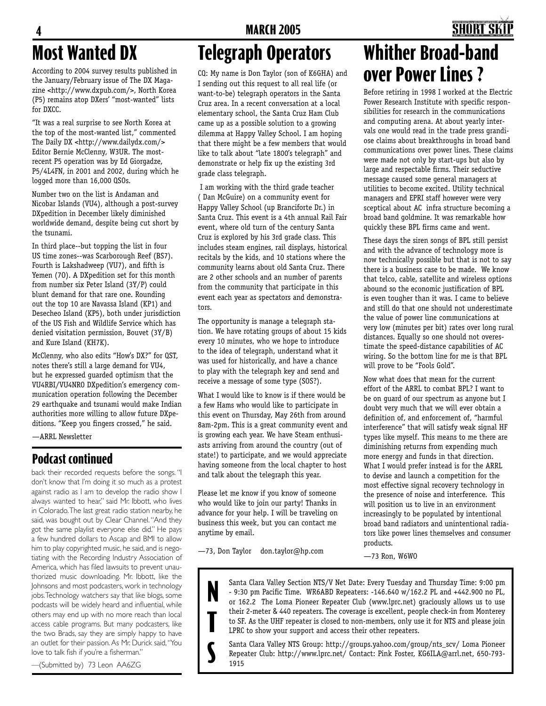# **Most Wanted DX**

According to 2004 survey results published in the January/February issue of The DX Magazine <http://www.dxpub.com/>, North Korea (P5) remains atop DXers' "most-wanted" lists for DXCC.

"It was a real surprise to see North Korea at the top of the most-wanted list," commented The Daily DX <http://www.dailydx.com/> Editor Bernie McClenny, W3UR. The mostrecent P5 operation was by Ed Giorgadze, P5/4L4FN, in 2001 and 2002, during which he logged more than 16,000 QSOs.

Number two on the list is Andaman and Nicobar Islands (VU4), although a post-survey DXpedition in December likely diminished worldwide demand, despite being cut short by the tsunami.

In third place--but topping the list in four US time zones--was Scarborough Reef (BS7). Fourth is Lakshadweep (VU7), and fifth is Yemen (7O). A DXpedition set for this month from number six Peter Island (3Y/P) could blunt demand for that rare one. Rounding out the top 10 are Navassa Island (KP1) and Desecheo Island (KP5), both under jurisdiction of the US Fish and Wildlife Service which has denied visitation permission, Bouvet (3Y/B) and Kure Island (KH7K).

McClenny, who also edits "How's DX?" for QST, notes there's still a large demand for VU4, but he expressed guarded optimism that the VU4RBI/VU4NRO DXpedition's emergency communication operation following the December 29 earthquake and tsunami would make Indian authorities more willing to allow future DXpeditions. "Keep you fingers crossed," he said.

—ARRL Newsletter

### **Podcast continued**

back their recorded requests before the songs. "I don't know that I'm doing it so much as a protest against radio as I am to develop the radio show I always wanted to hear," said Mr. Ibbott, who lives in Colorado. The last great radio station nearby, he said, was bought out by Clear Channel. "And they got the same playlist everyone else did." He pays a few hundred dollars to Ascap and BMI to allow him to play copyrighted music, he said, and is negotiating with the Recording Industry Association of America, which has filed lawsuits to prevent unauthorized music downloading. Mr. Ibbott, like the Johnsons and most podcasters, work in technology jobs. Technology watchers say that like blogs, some podcasts will be widely heard and influential, while others may end up with no more reach than local access cable programs. But many podcasters, like the two Brads, say they are simply happy to have an outlet for their passion. As Mr. Durick said, "You love to talk fish if you're a fisherman."

—(Submitted by) 73 Leon AA6ZG

# **Telegraph Operators**

CQ: My name is Don Taylor (son of K6GHA) and I sending out this request to all real life (or want-to-be) telegraph operators in the Santa Cruz area. In a recent conversation at a local elementary school, the Santa Cruz Ham Club came up as a possible solution to a growing dilemma at Happy Valley School. I am hoping that there might be a few members that would like to talk about "late 1800's telegraph" and demonstrate or help fix up the existing 3rd grade class telegraph.

 I am working with the third grade teacher ( Dan McGuire) on a community event for Happy Valley School (up Branciforte Dr.) in Santa Cruz. This event is a 4th annual Rail Fair event, where old turn of the century Santa Cruz is explored by his 3rd grade class. This includes steam engines, rail displays, historical recitals by the kids, and 10 stations where the community learns about old Santa Cruz. There are 2 other schools and an number of parents from the community that participate in this event each year as spectators and demonstrators.

The opportunity is manage a telegraph station. We have rotating groups of about 15 kids every 10 minutes, who we hope to introduce to the idea of telegraph, understand what it was used for historically, and have a chance to play with the telegraph key and send and receive a message of some type (SOS?).

What I would like to know is if there would be a few Hams who would like to participate in this event on Thursday, May 26th from around 8am-2pm. This is a great community event and is growing each year. We have Steam enthusiasts arriving from around the country (out of state!) to participate, and we would appreciate having someone from the local chapter to host and talk about the telegraph this year.

Please let me know if you know of someone who would like to join our party! Thanks in advance for your help. I will be traveling on business this week, but you can contact me anytime by email.

—73, Don Taylor don.taylor@hp.com

**T**

**S**

# **Whither Broad-band over Power Lines ?**

Before retiring in 1998 I worked at the Electric Power Research Institute with specific responsibilities for research in the communications and computing arena. At about yearly intervals one would read in the trade press grandiose claims about breakthroughs in broad band communications over power lines. These claims were made not only by start-ups but also by large and respectable firms. Their seductive message caused some general managers at utilities to become excited. Utility technical managers and EPRI staff however were very sceptical about AC infra structure becoming a broad band goldmine. It was remarkable how quickly these BPL firms came and went.

These days the siren songs of BPL still persist and with the advance of technology more is now technically possible but that is not to say there is a business case to be made. We know that telco, cable, satellite and wireless options abound so the economic justification of BPL is even tougher than it was. I came to believe and still do that one should not underestimate the value of power line communications at very low (minutes per bit) rates over long rural distances. Equally so one should not overestimate the speed-distance capabilities of AC wiring. So the bottom line for me is that BPL will prove to be "Fools Gold".

Now what does that mean for the current effort of the ARRL to combat BPL? I want to be on guard of our spectrum as anyone but I doubt very much that we will ever obtain a definition of, and enforcement of, "harmful interference" that will satisfy weak signal HF types like myself. This means to me there are diminishing returns from expending much more energy and funds in that direction. What I would prefer instead is for the ARRL to devise and launch a competition for the most effective signal recovery technology in the presence of noise and interference. This will position us to live in an environment increasingly to be populated by intentional broad band radiators and unintentional radiators like power lines themselves and consumer products.

—73 Ron, W6WO

Santa Clara Valley Section NTS/V Net Date: Every Tuesday and Thursday Time: 9:00 pm - 9:30 pm Pacific Time. WR6ABD Repeaters: -146.640 w/162.2 PL and +442.900 no PL, or 162.2 The Loma Pioneer Repeater Club (www.lprc.net) graciously allows us to use their 2-meter & 440 repeaters. The coverage is excellent, people check-in from Monterey to SF. As the UHF repeater is closed to non-members, only use it for NTS and please join LPRC to show your support and access their other repeaters. **N**

Santa Clara Valley NTS Group: http://groups.yahoo.com/group/nts\_scv/ Loma Pioneer Repeater Club: http://www.lprc.net/ Contact: Pink Foster, KG6ILA@arrl.net, 650-793- 1915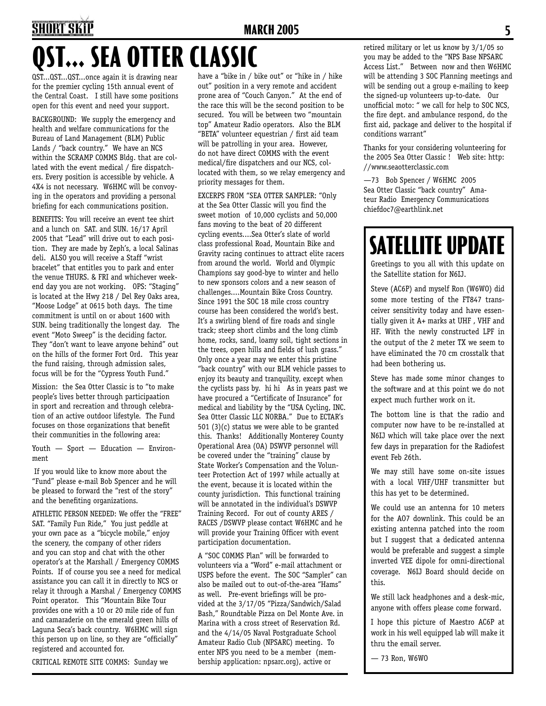# **ST... SEA OTTER CLASSIC 4 MARCH 2005 5**

QST...QST...QST...once again it is drawing near for the premier cycling 15th annual event of the Central Coast. I still have some positions open for this event and need your support.

BACKGROUND: We supply the emergency and health and welfare communications for the Bureau of Land Management (BLM) Public Lands / "back country." We have an NCS within the SCRAMP COMMS Bldg. that are collated with the event medical / fire dispatchers. Every position is accessible by vehicle. A 4X4 is not necessary. W6HMC will be convoying in the operators and providing a personal briefing for each communications position.

BENEFITS: You will receive an event tee shirt and a lunch on SAT. and SUN. 16/17 April 2005 that "Lead" will drive out to each position. They are made by Zeph's, a local Salinas deli. ALSO you will receive a Staff "wrist bracelet" that entitles you to park and enter the venue THURS. & FRI and whichever weekend day you are not working. OPS: "Staging" is located at the Hwy 218 / Del Rey Oaks area, "Moose Lodge" at 0615 both days. The time commitment is until on or about 1600 with SUN. being traditionally the longest day. The event "Moto Sweep" is the deciding factor. They "don't want to leave anyone behind" out on the hills of the former Fort Ord. This year the fund raising, through admission sales, focus will be for the "Cypress Youth Fund."

Mission: the Sea Otter Classic is to "to make people's lives better through participaation in sport and recreation and through celebration of an active outdoor lifestyle. The Fund focuses on those organizations that benefit their communities in the following area:

Youth — Sport — Education — Environment

 If you would like to know more about the "Fund" please e-mail Bob Spencer and he will be pleased to forward the "rest of the story" and the benefiting organizations.

ATHLETIC PERSON NEEDED: We offer the "FREE" SAT. "Family Fun Ride," You just peddle at your own pace as a "bicycle mobile," enjoy the scenery, the company of other riders and you can stop and chat with the other operator's at the Marshall / Emergency COMMS Points. If of course you see a need for medical assistance you can call it in directly to NCS or relay it through a Marshal / Emergency COMMS Point operator. This "Mountain Bike Tour provides one with a 10 or 20 mile ride of fun and camaraderie on the emerald green hills of Laguna Seca's back country. W6HMC will sign this person up on line, so they are "officially" registered and accounted for.

CRITICAL REMOTE SITE COMMS: Sunday we

have a "bike in / bike out" or "hike in / hike out" position in a very remote and accident prone area of "Couch Canyon." At the end of the race this will be the second position to be secured. You will be between two "mountain top" Amateur Radio operators. Also the BLM "BETA" volunteer equestrian / first aid team will be patrolling in your area. However, do not have direct COMMS with the event medical/fire dispatchers and our NCS, collocated with them, so we relay emergency and priority messages for them.

EXCERPS FROM "SEA OTTER SAMPLER: "Only at the Sea Otter Classic will you find the sweet motion of 10,000 cyclists and 50,000 fans moving to the beat of 20 different cycling events....Sea Otter's slate of world class professional Road, Mountain Bike and Gravity racing continues to attract elite racers from around the world. World and Olympic Champions say good-bye to winter and hello to new sponsors colors and a new season of challenges....Mountain Bike Cross Country. Since 1991 the SOC 18 mile cross country course has been considered the world's best. It's a swirling blend of fire roads and single track; steep short climbs and the long climb home, rocks, sand, loamy soil, tight sections in the trees, open hills and fields of lush grass." Only once a year may we enter this pristine "back country" with our BLM vehicle passes to enjoy its beauty and tranquility, except when the cyclists pass by. hi hi As in years past we have procured a "Certificate of Insurance" for medical and liability by the "USA Cycling, INC. Sea Otter Classic LLC NORBA." Due to ECTAR's 501 (3)(c) status we were able to be granted this. Thanks! Additionally Monterey County Operational Area (OA) DSWVP personnel will be covered under the "training" clause by State Worker's Compensation and the Volunteer Protection Act of 1997 while actually at the event, because it is located within the county jurisdiction. This functional training will be annotated in the individual's DSWVP Training Record. For out of county ARES / RACES /DSWVP please contact W6HMC and he will provide your Training Officer with event participation documentation.

A "SOC COMMS Plan" will be forwarded to volunteers via a "Word" e-mail attachment or USPS before the event. The SOC "Sampler" can also be mailed out to out-of-the-area "Hams" as well. Pre-event briefings will be provided at the 3/17/05 "Pizza/Sandwich/Salad Bash," Roundtable Pizza on Del Monte Ave. in Marina with a cross street of Reservation Rd. and the 4/14/05 Naval Postgraduate School Amateur Radio Club (NPSARC) meeting. To enter NPS you need to be a member (membership application: npsarc.org), active or

retired military or let us know by 3/1/05 so you may be added to the "NPS Base NPSARC Access List." Between now and then W6HMC will be attending 3 SOC Planning meetings and will be sending out a group e-mailing to keep the signed-up volunteers up-to-date. Our unofficial moto: " we call for help to SOC NCS, the fire dept. and ambulance respond, do the first aid, package and deliver to the hospital if conditions warrant"

Thanks for your considering volunteering for the 2005 Sea Otter Classic ! Web site: http: //www.seaotterclassic.com

—73 Bob Spencer / W6HMC 2005 Sea Otter Classic "back country" Amateur Radio Emergency Communications chiefdoc7@earthlink.net

# **SATELLITE UPDATE**

Greetings to you all with this update on the Satellite station for N6IJ.

Steve (AC6P) and myself Ron (W6WO) did some more testing of the FT847 transceiver sensitivity today and have essentially given it A+ marks at UHF , VHF and HF. With the newly constructed LPF in the output of the 2 meter TX we seem to have eliminated the 70 cm crosstalk that had been bothering us.

Steve has made some minor changes to the software and at this point we do not expect much further work on it.

The bottom line is that the radio and computer now have to be re-installed at N6IJ which will take place over the next few days in preparation for the Radiofest event Feb 26th.

We may still have some on-site issues with a local VHF/UHF transmitter but this has yet to be determined.

We could use an antenna for 10 meters for the AO7 downlink. This could be an existing antenna patched into the room but I suggest that a dedicated antenna would be preferable and suggest a simple inverted VEE dipole for omni-directional coverage. N6IJ Board should decide on this.

We still lack headphones and a desk-mic, anyone with offers please come forward.

I hope this picture of Maestro AC6P at work in his well equipped lab will make it thru the email server.

— 73 Ron, W6WO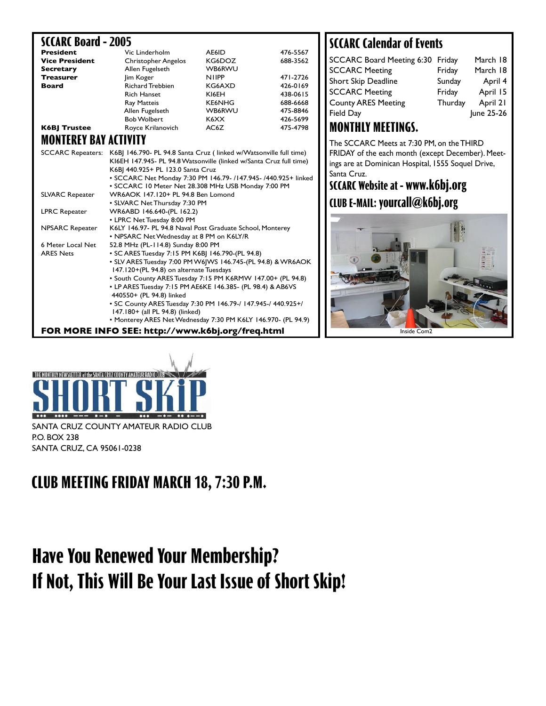#### **SCCARC Board - 2005**

| <b>President</b>      | Vic Linderholm             | AE6ID         | 476-5567 |
|-----------------------|----------------------------|---------------|----------|
| <b>Vice President</b> | <b>Christopher Angelos</b> | KG6DOZ        | 688-3562 |
| <b>Secretary</b>      | Allen Fugelseth            | <b>WB6RWU</b> |          |
| <b>Treasurer</b>      | lim Koger                  | <b>NIIPP</b>  | 471-2726 |
| <b>Board</b>          | <b>Richard Trebbien</b>    | KG6AXD        | 426-0169 |
|                       | <b>Rich Hanset</b>         | KI6EH         | 438-0615 |
|                       | Ray Matteis                | <b>KE6NHG</b> | 688-6668 |
|                       | Allen Fugelseth            | <b>WB6RWU</b> | 475-8846 |
|                       | <b>Bob Wolbert</b>         | K6XX          | 426-5699 |
| <b>K6BJ Trustee</b>   | Royce Krilanovich          | AC6Z          | 475-4798 |

### **MONTEREY BAY ACTIVITY**

|                                                                 | SCCARC Repeaters: K6B  146.790- PL 94.8 Santa Cruz (linked w/Watsonville full time)<br>KI6EH 147.945- PL 94.8 Watsonville (linked w/Santa Cruz full time)<br>K6B  440.925+ PL 123.0 Santa Cruz<br>• SCCARC Net Monday 7:30 PM 146.79- /147.945- /440.925+ linked<br>• SCCARC 10 Meter Net 28.308 MHz USB Monday 7:00 PM |  | FRIDAY of the each month (exc<br>ings are at Dominican Hospital,<br>Santa Cruz.<br><b>SCCARC Website at - www.l</b> |  |
|-----------------------------------------------------------------|-------------------------------------------------------------------------------------------------------------------------------------------------------------------------------------------------------------------------------------------------------------------------------------------------------------------------|--|---------------------------------------------------------------------------------------------------------------------|--|
| <b>SLVARC Repeater</b>                                          | WR6AOK 147.120+ PL 94.8 Ben Lomond                                                                                                                                                                                                                                                                                      |  |                                                                                                                     |  |
|                                                                 | • SLVARC Net Thursday 7:30 PM                                                                                                                                                                                                                                                                                           |  | CLUB E-MAIL: yourcall@k6                                                                                            |  |
| <b>LPRC Repeater</b>                                            | WR6ABD 146.640-(PL 162.2)                                                                                                                                                                                                                                                                                               |  |                                                                                                                     |  |
|                                                                 | • LPRC Net Tuesday 8:00 PM                                                                                                                                                                                                                                                                                              |  |                                                                                                                     |  |
| <b>NPSARC Repeater</b>                                          | K6LY 146.97- PL 94.8 Naval Post Graduate School, Monterey                                                                                                                                                                                                                                                               |  |                                                                                                                     |  |
|                                                                 | • NPSARC Net Wednesday at 8 PM on K6LY/R                                                                                                                                                                                                                                                                                |  |                                                                                                                     |  |
| 6 Meter Local Net                                               | 52.8 MHz (PL-114.8) Sunday 8:00 PM                                                                                                                                                                                                                                                                                      |  |                                                                                                                     |  |
| <b>ARES Nets</b>                                                | • SC ARES Tuesday 7:15 PM K6B  146.790-(PL 94.8)                                                                                                                                                                                                                                                                        |  |                                                                                                                     |  |
|                                                                 | • SLV ARES Tuesday 7:00 PM W6 WS 146.745-(PL 94.8) & WR6AOK                                                                                                                                                                                                                                                             |  |                                                                                                                     |  |
|                                                                 | 147.120+(PL 94.8) on alternate Tuesdays                                                                                                                                                                                                                                                                                 |  |                                                                                                                     |  |
|                                                                 | • South County ARES Tuesday 7:15 PM K6RMW 147.00+ (PL 94.8)                                                                                                                                                                                                                                                             |  |                                                                                                                     |  |
|                                                                 | • LP ARES Tuesday 7:15 PM AE6KE 146.385- (PL 98.4) & AB6VS                                                                                                                                                                                                                                                              |  |                                                                                                                     |  |
|                                                                 | 440550+ (PL 94.8) linked                                                                                                                                                                                                                                                                                                |  |                                                                                                                     |  |
|                                                                 | • SC County ARES Tuesday 7:30 PM 146.79-/ 147.945-/ 440.925+/<br>147.180+ (all PL 94.8) (linked)                                                                                                                                                                                                                        |  |                                                                                                                     |  |
|                                                                 | • Monterey ARES Net Wednesday 7:30 PM K6LY 146.970- (PL 94.9)                                                                                                                                                                                                                                                           |  |                                                                                                                     |  |
|                                                                 |                                                                                                                                                                                                                                                                                                                         |  |                                                                                                                     |  |
| FOR MORE INFO SEE: http://www.k6bj.org/freq.html<br>Inside Com2 |                                                                                                                                                                                                                                                                                                                         |  |                                                                                                                     |  |

### **SCCARC Calendar of Events**

| SCCARC Board Meeting 6:30 Friday |         | March 18   |
|----------------------------------|---------|------------|
| <b>SCCARC Meeting</b>            | Friday  | March 18   |
| Short Skip Deadline              | Sunday  | April 4    |
| <b>SCCARC Meeting</b>            | Friday  | April 15   |
| <b>County ARES Meeting</b>       | Thurday | April 21   |
| Field Day                        |         | June 25-26 |
|                                  |         |            |

### **MONTHLY MEETINGS.**

The SCCARC Meets at 7:30 PM, on the THIRD FRIDAY of the each month (except December). Meetings are at Dominican Hospital, 1555 Soquel Drive, Santa Cruz.

### **SCCARC Website at - www.k6bj.org CLUB E-MAIL: yourcall@k6bj.org**





SANTA CRUZ COUNTY AMATEUR RADIO CLUB P.O. BOX 238 SANTA CRUZ, CA 95061-0238

### **CLUB MEETING FRIDAY MARCH 18, 7:30 P.M.**

## **Have You Renewed Your Membership? If Not, This Will Be Your Last Issue of Short Skip!**